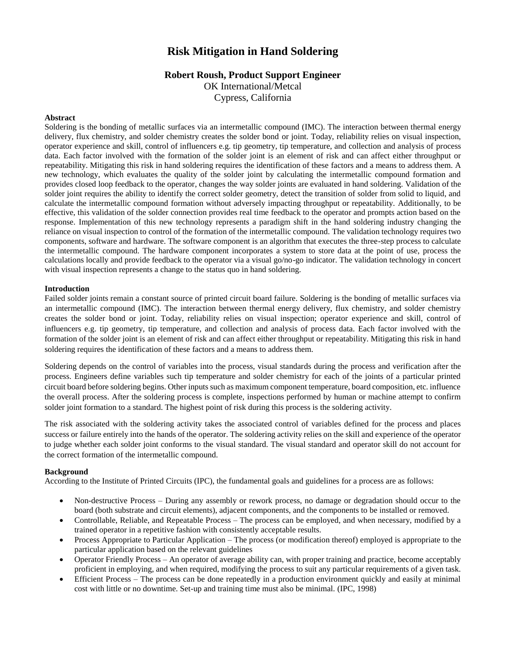# **Risk Mitigation in Hand Soldering**

## **Robert Roush, Product Support Engineer**

OK International/Metcal Cypress, California

### **Abstract**

Soldering is the bonding of metallic surfaces via an intermetallic compound (IMC). The interaction between thermal energy delivery, flux chemistry, and solder chemistry creates the solder bond or joint. Today, reliability relies on visual inspection, operator experience and skill, control of influencers e.g. tip geometry, tip temperature, and collection and analysis of process data. Each factor involved with the formation of the solder joint is an element of risk and can affect either throughput or repeatability. Mitigating this risk in hand soldering requires the identification of these factors and a means to address them. A new technology, which evaluates the quality of the solder joint by calculating the intermetallic compound formation and provides closed loop feedback to the operator, changes the way solder joints are evaluated in hand soldering. Validation of the solder joint requires the ability to identify the correct solder geometry, detect the transition of solder from solid to liquid, and calculate the intermetallic compound formation without adversely impacting throughput or repeatability. Additionally, to be effective, this validation of the solder connection provides real time feedback to the operator and prompts action based on the response. Implementation of this new technology represents a paradigm shift in the hand soldering industry changing the reliance on visual inspection to control of the formation of the intermetallic compound. The validation technology requires two components, software and hardware. The software component is an algorithm that executes the three-step process to calculate the intermetallic compound. The hardware component incorporates a system to store data at the point of use, process the calculations locally and provide feedback to the operator via a visual go/no-go indicator. The validation technology in concert with visual inspection represents a change to the status quo in hand soldering.

#### **Introduction**

Failed solder joints remain a constant source of printed circuit board failure. Soldering is the bonding of metallic surfaces via an intermetallic compound (IMC). The interaction between thermal energy delivery, flux chemistry, and solder chemistry creates the solder bond or joint. Today, reliability relies on visual inspection; operator experience and skill, control of influencers e.g. tip geometry, tip temperature, and collection and analysis of process data. Each factor involved with the formation of the solder joint is an element of risk and can affect either throughput or repeatability. Mitigating this risk in hand soldering requires the identification of these factors and a means to address them.

Soldering depends on the control of variables into the process, visual standards during the process and verification after the process. Engineers define variables such tip temperature and solder chemistry for each of the joints of a particular printed circuit board before soldering begins. Other inputs such as maximum component temperature, board composition, etc. influence the overall process. After the soldering process is complete, inspections performed by human or machine attempt to confirm solder joint formation to a standard. The highest point of risk during this process is the soldering activity.

The risk associated with the soldering activity takes the associated control of variables defined for the process and places success or failure entirely into the hands of the operator. The soldering activity relies on the skill and experience of the operator to judge whether each solder joint conforms to the visual standard. The visual standard and operator skill do not account for the correct formation of the intermetallic compound.

#### **Background**

According to the Institute of Printed Circuits (IPC), the fundamental goals and guidelines for a process are as follows:

- Non-destructive Process During any assembly or rework process, no damage or degradation should occur to the board (both substrate and circuit elements), adjacent components, and the components to be installed or removed.
- Controllable, Reliable, and Repeatable Process The process can be employed, and when necessary, modified by a trained operator in a repetitive fashion with consistently acceptable results.
- Process Appropriate to Particular Application The process (or modification thereof) employed is appropriate to the particular application based on the relevant guidelines
- Operator Friendly Process An operator of average ability can, with proper training and practice, become acceptably proficient in employing, and when required, modifying the process to suit any particular requirements of a given task.
- Efficient Process The process can be done repeatedly in a production environment quickly and easily at minimal cost with little or no downtime. Set-up and training time must also be minimal. (IPC, 1998)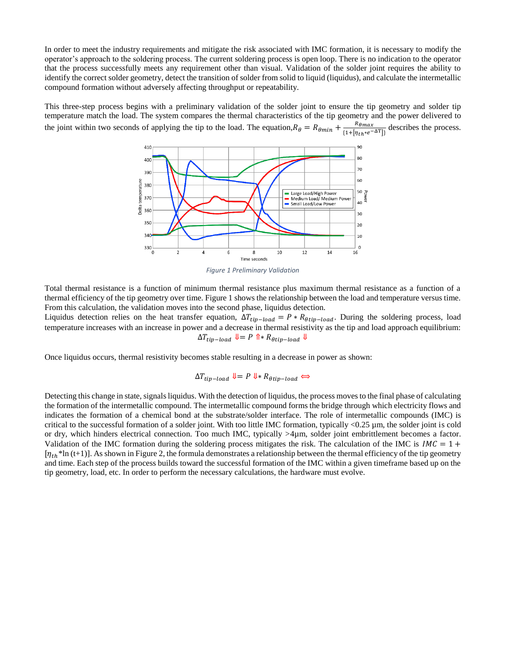In order to meet the industry requirements and mitigate the risk associated with IMC formation, it is necessary to modify the operator's approach to the soldering process. The current soldering process is open loop. There is no indication to the operator that the process successfully meets any requirement other than visual. Validation of the solder joint requires the ability to identify the correct solder geometry, detect the transition of solder from solid to liquid (liquidus), and calculate the intermetallic compound formation without adversely affecting throughput or repeatability.

This three-step process begins with a preliminary validation of the solder joint to ensure the tip geometry and solder tip temperature match the load. The system compares the thermal characteristics of the tip geometry and the power delivered to the joint within two seconds of applying the tip to the load. The equation,  $R_{\theta} = R_{\theta min} + \frac{R_{\theta max}}{1 + |R_{\theta max}}$  $\frac{N\theta max}{\{1+[\eta_{th}*e^{-\Delta T}]\}}$  describes the process.



*Figure 1 Preliminary Validation*

Total thermal resistance is a function of minimum thermal resistance plus maximum thermal resistance as a function of a thermal efficiency of the tip geometry over time. Figure 1 shows the relationship between the load and temperature versus time. From this calculation, the validation moves into the second phase, liquidus detection.

Liquidus detection relies on the heat transfer equation,  $\Delta T_{tip-load} = P * R_{otip-load}$ . During the soldering process, load temperature increases with an increase in power and a decrease in thermal resistivity as the tip and load approach equilibrium:  $\Delta T_{tip-load} \Downarrow = P \uparrow * R_{\theta tip-load} \Downarrow$ 

Once liquidus occurs, thermal resistivity becomes stable resulting in a decrease in power as shown:

$$
\Delta T_{tip-load} \Downarrow = P \Downarrow R_{\theta tip-load} \Leftrightarrow
$$

Detecting this change in state, signals liquidus. With the detection of liquidus, the process moves to the final phase of calculating the formation of the intermetallic compound. The intermetallic compound forms the bridge through which electricity flows and indicates the formation of a chemical bond at the substrate/solder interface. The role of intermetallic compounds (IMC) is critical to the successful formation of a solder joint. With too little IMC formation, typically <0.25 µm, the solder joint is cold or dry, which hinders electrical connection. Too much IMC, typically  $>4\mu$ m, solder joint embrittlement becomes a factor. Validation of the IMC formation during the soldering process mitigates the risk. The calculation of the IMC is  $IMC = 1 +$  $[\eta_{th}$ <sup>\*</sup>ln (t+1)]. As shown in Figure 2, the formula demonstrates a relationship between the thermal efficiency of the tip geometry and time. Each step of the process builds toward the successful formation of the IMC within a given timeframe based up on the tip geometry, load, etc. In order to perform the necessary calculations, the hardware must evolve.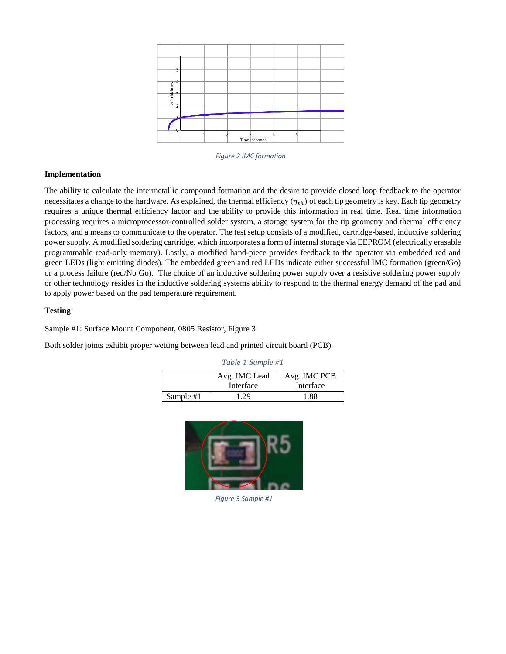

*Figure 2 IMC formation*

#### **Implementation**

The ability to calculate the intermetallic compound formation and the desire to provide closed loop feedback to the operator necessitates a change to the hardware. As explained, the thermal efficiency  $(\eta_{th})$  of each tip geometry is key. Each tip geometry requires a unique thermal efficiency factor and the ability to provide this information in real time. Real time information processing requires a microprocessor-controlled solder system, a storage system for the tip geometry and thermal efficiency factors, and a means to communicate to the operator. The test setup consists of a modified, cartridge-based, inductive soldering power supply. A modified soldering cartridge, which incorporates a form of internal storage via EEPROM (electrically erasable programmable read-only memory). Lastly, a modified hand-piece provides feedback to the operator via embedded red and green LEDs (light emitting diodes). The embedded green and red LEDs indicate either successful IMC formation (green/Go) or a process failure (red/No Go). The choice of an inductive soldering power supply over a resistive soldering power supply or other technology resides in the inductive soldering systems ability to respond to the thermal energy demand of the pad and to apply power based on the pad temperature requirement.

#### **Testing**

Sample #1: Surface Mount Component, 0805 Resistor, Figure 3

Both solder joints exhibit proper wetting between lead and printed circuit board (PCB).

|           | Avg. IMC Lead | Avg. IMC PCB |  |
|-----------|---------------|--------------|--|
|           | Interface     | Interface    |  |
| Sample #1 | - 29          | 1.88         |  |

*Table 1 Sample #1*



*Figure 3 Sample #1*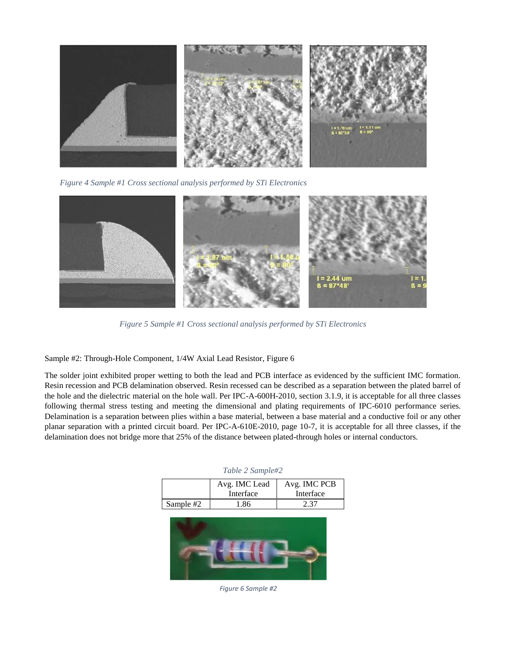

*Figure 4 Sample #1 Cross sectional analysis performed by STi Electronics*



*Figure 5 Sample #1 Cross sectional analysis performed by STi Electronics*

Sample #2: Through-Hole Component, 1/4W Axial Lead Resistor, Figure 6

The solder joint exhibited proper wetting to both the lead and PCB interface as evidenced by the sufficient IMC formation. Resin recession and PCB delamination observed. Resin recessed can be described as a separation between the plated barrel of the hole and the dielectric material on the hole wall. Per IPC-A-600H-2010, section 3.1.9, it is acceptable for all three classes following thermal stress testing and meeting the dimensional and plating requirements of IPC-6010 performance series. Delamination is a separation between plies within a base material, between a base material and a conductive foil or any other planar separation with a printed circuit board. Per IPC-A-610E-2010, page 10-7, it is acceptable for all three classes, if the delamination does not bridge more that 25% of the distance between plated-through holes or internal conductors.

| Table 2 Sample#2 |              |  |  |  |
|------------------|--------------|--|--|--|
| Avg. IMC Lead    | Avg. IMC PCB |  |  |  |
|                  | Interface    |  |  |  |
| 1.86             |              |  |  |  |
|                  | Interface    |  |  |  |



*Figure 6 Sample #2*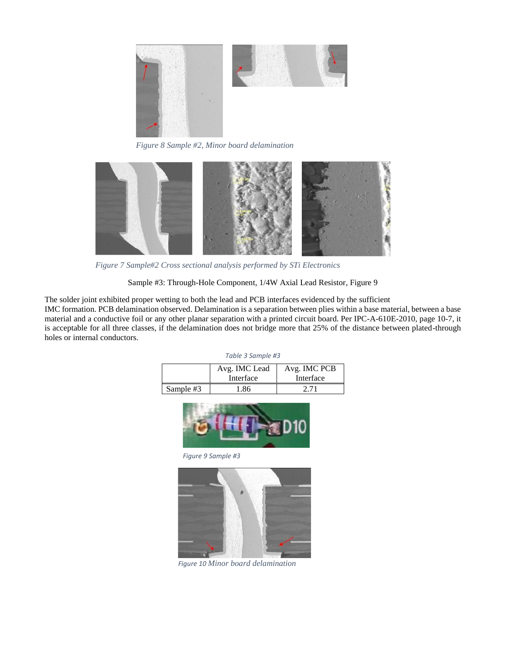

*Figure 8 Sample #2, Minor board delamination*



*Figure 7 Sample#2 Cross sectional analysis performed by STi Electronics*

Sample #3: Through-Hole Component, 1/4W Axial Lead Resistor, Figure 9

The solder joint exhibited proper wetting to both the lead and PCB interfaces evidenced by the sufficient IMC formation. PCB delamination observed. Delamination is a separation between plies within a base material, between a base material and a conductive foil or any other planar separation with a printed circuit board. Per IPC-A-610E-2010, page 10-7, it is acceptable for all three classes, if the delamination does not bridge more that 25% of the distance between plated-through holes or internal conductors.

| Table 3 Sample #3 |  |
|-------------------|--|
|-------------------|--|

|           | Avg. IMC Lead<br>Interface | Avg. IMC PCB<br>Interface |
|-----------|----------------------------|---------------------------|
| Sample #3 | .86                        |                           |



*Figure 9 Sample #3*



*Figure 10 Minor board delamination*